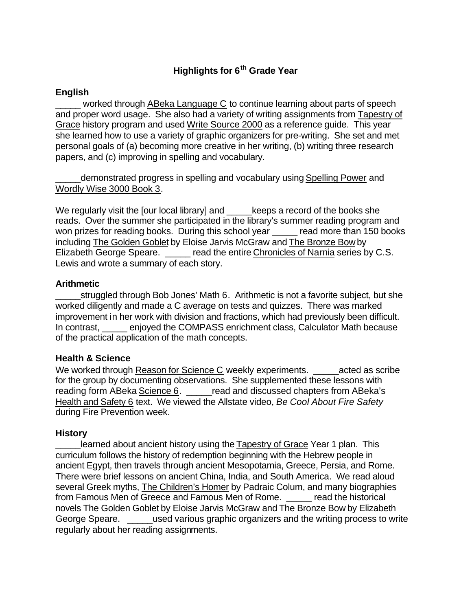# **Highlights for 6th Grade Year**

# **English**

worked through ABeka Language C to continue learning about parts of speech and proper word usage. She also had a variety of writing assignments from Tapestry of Grace history program and used Write Source 2000 as a reference guide. This year she learned how to use a variety of graphic organizers for pre-writing. She set and met personal goals of (a) becoming more creative in her writing, (b) writing three research papers, and (c) improving in spelling and vocabulary.

demonstrated progress in spelling and vocabulary using Spelling Power and Wordly Wise 3000 Book 3.

We regularly visit the [our local library] and letther a record of the books she reads. Over the summer she participated in the library's summer reading program and won prizes for reading books. During this school year ead more than 150 books including The Golden Goblet by Eloise Jarvis McGraw and The Bronze Bow by Elizabeth George Speare. \_\_\_\_\_ read the entire Chronicles of Narnia series by C.S. Lewis and wrote a summary of each story.

## **Arithmetic**

struggled through Bob Jones' Math 6. Arithmetic is not a favorite subject, but she worked diligently and made a C average on tests and quizzes. There was marked improvement in her work with division and fractions, which had previously been difficult. In contrast, enjoyed the COMPASS enrichment class, Calculator Math because of the practical application of the math concepts.

## **Health & Science**

We worked through Reason for Science C weekly experiments. \_\_\_\_\_\_\_\_\_\_\_\_\_\_\_\_\_\_\_\_\_ for the group by documenting observations. She supplemented these lessons with reading form ABeka Science 6. \_\_\_\_\_read and discussed chapters from ABeka's Health and Safety 6 text. We viewed the Allstate video, *Be Cool About Fire Safety* during Fire Prevention week.

#### **History**

learned about ancient history using the Tapestry of Grace Year 1 plan. This curriculum follows the history of redemption beginning with the Hebrew people in ancient Egypt, then travels through ancient Mesopotamia, Greece, Persia, and Rome. There were brief lessons on ancient China, India, and South America. We read aloud several Greek myths, The Children's Homer by Padraic Colum, and many biographies from Famous Men of Greece and Famous Men of Rome. \_\_\_\_\_ read the historical novels The Golden Goblet by Eloise Jarvis McGraw and The Bronze Bow by Elizabeth George Speare. **Example 20 used various graphic organizers and the writing process to write** regularly about her reading assignments.